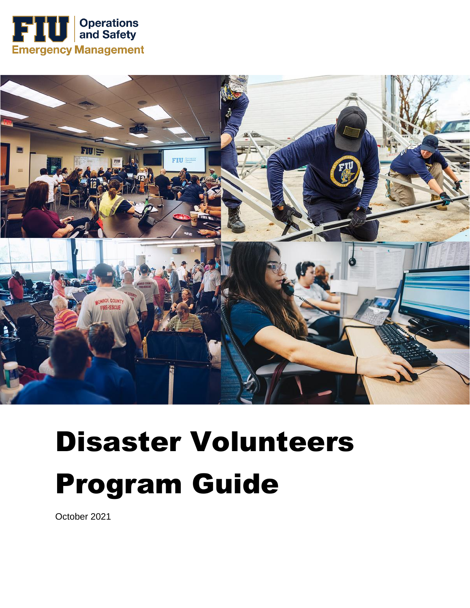



# Disaster Volunteers Program Guide

October 2021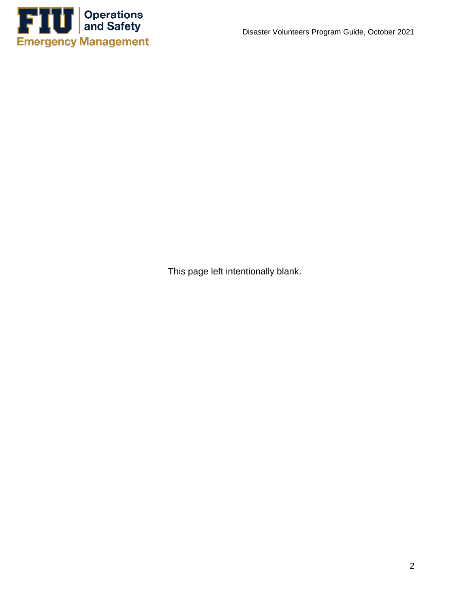

This page left intentionally blank.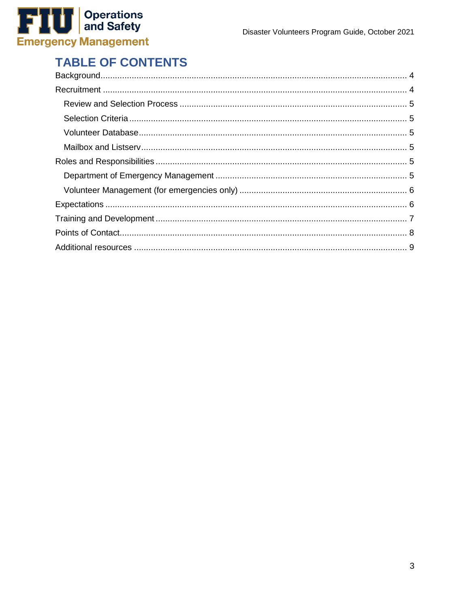

## **TABLE OF CONTENTS**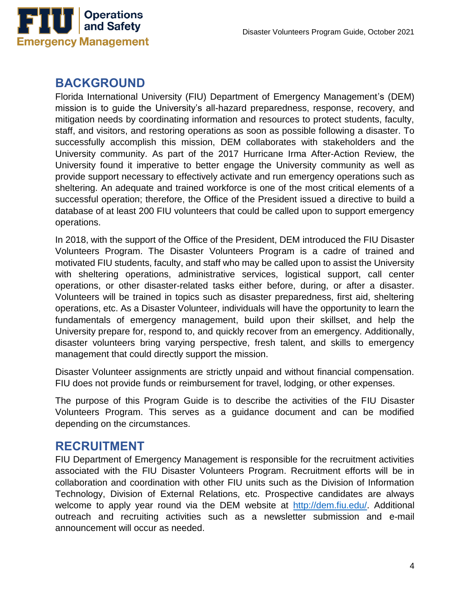

### <span id="page-3-0"></span>**BACKGROUND**

Florida International University (FIU) Department of Emergency Management's (DEM) mission is to guide the University's all-hazard preparedness, response, recovery, and mitigation needs by coordinating information and resources to protect students, faculty, staff, and visitors, and restoring operations as soon as possible following a disaster. To successfully accomplish this mission, DEM collaborates with stakeholders and the University community. As part of the 2017 Hurricane Irma After-Action Review, the University found it imperative to better engage the University community as well as provide support necessary to effectively activate and run emergency operations such as sheltering. An adequate and trained workforce is one of the most critical elements of a successful operation; therefore, the Office of the President issued a directive to build a database of at least 200 FIU volunteers that could be called upon to support emergency operations.

In 2018, with the support of the Office of the President, DEM introduced the FIU Disaster Volunteers Program. The Disaster Volunteers Program is a cadre of trained and motivated FIU students, faculty, and staff who may be called upon to assist the University with sheltering operations, administrative services, logistical support, call center operations, or other disaster-related tasks either before, during, or after a disaster. Volunteers will be trained in topics such as disaster preparedness, first aid, sheltering operations, etc. As a Disaster Volunteer, individuals will have the opportunity to learn the fundamentals of emergency management, build upon their skillset, and help the University prepare for, respond to, and quickly recover from an emergency. Additionally, disaster volunteers bring varying perspective, fresh talent, and skills to emergency management that could directly support the mission.

Disaster Volunteer assignments are strictly unpaid and without financial compensation. FIU does not provide funds or reimbursement for travel, lodging, or other expenses.

The purpose of this Program Guide is to describe the activities of the FIU Disaster Volunteers Program. This serves as a guidance document and can be modified depending on the circumstances.

#### <span id="page-3-1"></span>**RECRUITMENT**

FIU Department of Emergency Management is responsible for the recruitment activities associated with the FIU Disaster Volunteers Program. Recruitment efforts will be in collaboration and coordination with other FIU units such as the Division of Information Technology, Division of External Relations, etc. Prospective candidates are always welcome to apply year round via the DEM website at [http://dem.fiu.edu/.](http://dem.fiu.edu/) Additional outreach and recruiting activities such as a newsletter submission and e-mail announcement will occur as needed.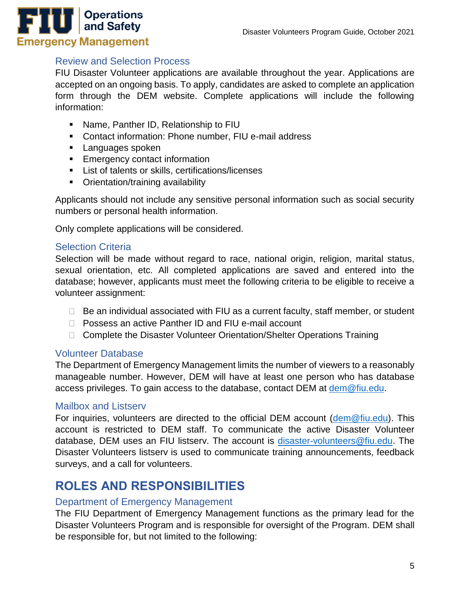# Operations<br>and Safety **Emergency Management**

#### <span id="page-4-0"></span>Review and Selection Process

FIU Disaster Volunteer applications are available throughout the year. Applications are accepted on an ongoing basis. To apply, candidates are asked to complete an application form through the DEM website. Complete applications will include the following information:

- **Name, Panther ID, Relationship to FIU**
- Contact information: Phone number, FIU e-mail address
- **Languages spoken**
- **Emergency contact information**
- **EXECUTE:** List of talents or skills, certifications/licenses
- **•** Orientation/training availability

Applicants should not include any sensitive personal information such as social security numbers or personal health information.

Only complete applications will be considered.

#### <span id="page-4-1"></span>Selection Criteria

Selection will be made without regard to race, national origin, religion, marital status, sexual orientation, etc. All completed applications are saved and entered into the database; however, applicants must meet the following criteria to be eligible to receive a volunteer assignment:

- $\Box$  Be an individual associated with FIU as a current faculty, staff member, or student
- □ Possess an active Panther ID and FIU e-mail account
- □ Complete the Disaster Volunteer Orientation/Shelter Operations Training

#### <span id="page-4-2"></span>Volunteer Database

The Department of Emergency Management limits the number of viewers to a reasonably manageable number. However, DEM will have at least one person who has database access privileges. To gain access to the database, contact DEM at [dem@fiu.edu.](mailto:dem@fiu.edu)

#### <span id="page-4-3"></span>Mailbox and Listserv

For inquiries, volunteers are directed to the official DEM account [\(dem@fiu.edu\)](mailto:dem@fiu.edu). This account is restricted to DEM staff. To communicate the active Disaster Volunteer database, DEM uses an FIU listserv. The account is [disaster-volunteers@fiu.edu.](mailto:disaster-volunteers@fiu.edu) The Disaster Volunteers listserv is used to communicate training announcements, feedback surveys, and a call for volunteers.

## <span id="page-4-4"></span>**ROLES AND RESPONSIBILITIES**

#### <span id="page-4-5"></span>Department of Emergency Management

The FIU Department of Emergency Management functions as the primary lead for the Disaster Volunteers Program and is responsible for oversight of the Program. DEM shall be responsible for, but not limited to the following: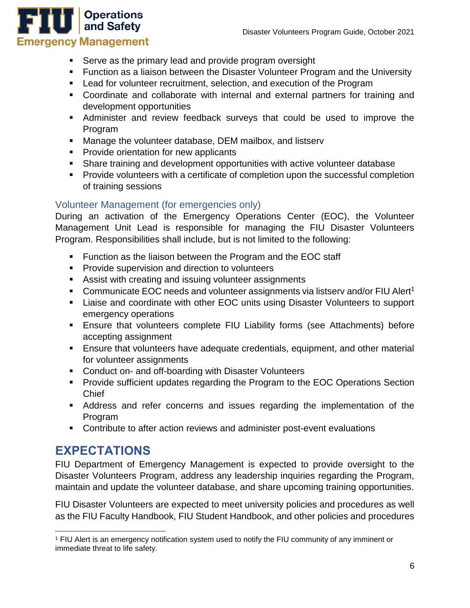## **Operations**<br>and Safety **Emergency Management**

- Serve as the primary lead and provide program oversight
- **Function as a liaison between the Disaster Volunteer Program and the University**
- Lead for volunteer recruitment, selection, and execution of the Program
- Coordinate and collaborate with internal and external partners for training and development opportunities
- Administer and review feedback surveys that could be used to improve the Program
- **Manage the volunteer database, DEM mailbox, and listserv**
- **Provide orientation for new applicants**
- Share training and development opportunities with active volunteer database
- **Provide volunteers with a certificate of completion upon the successful completion** of training sessions

#### <span id="page-5-0"></span>Volunteer Management (for emergencies only)

During an activation of the Emergency Operations Center (EOC), the Volunteer Management Unit Lead is responsible for managing the FIU Disaster Volunteers Program. Responsibilities shall include, but is not limited to the following:

- **Function as the liaison between the Program and the EOC staff**
- **Provide supervision and direction to volunteers**
- Assist with creating and issuing volunteer assignments
- Communicate EOC needs and volunteer assignments via listserv and/or FIU Alert<sup>1</sup>
- Liaise and coordinate with other EOC units using Disaster Volunteers to support emergency operations
- Ensure that volunteers complete FIU Liability forms (see Attachments) before accepting assignment
- Ensure that volunteers have adequate credentials, equipment, and other material for volunteer assignments
- **Conduct on- and off-boarding with Disaster Volunteers**
- **Provide sufficient updates regarding the Program to the EOC Operations Section Chief**
- Address and refer concerns and issues regarding the implementation of the Program
- Contribute to after action reviews and administer post-event evaluations

## <span id="page-5-1"></span>**EXPECTATIONS**

FIU Department of Emergency Management is expected to provide oversight to the Disaster Volunteers Program, address any leadership inquiries regarding the Program, maintain and update the volunteer database, and share upcoming training opportunities.

FIU Disaster Volunteers are expected to meet university policies and procedures as well as the FIU Faculty Handbook, FIU Student Handbook, and other policies and procedures

<sup>1</sup> FIU Alert is an emergency notification system used to notify the FIU community of any imminent or immediate threat to life safety.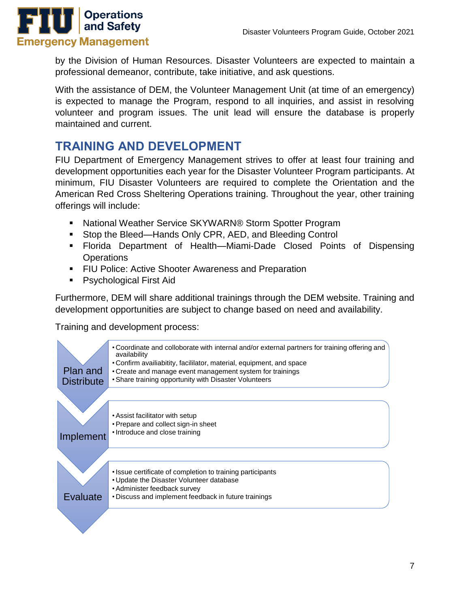

by the Division of Human Resources. Disaster Volunteers are expected to maintain a professional demeanor, contribute, take initiative, and ask questions.

With the assistance of DEM, the Volunteer Management Unit (at time of an emergency) is expected to manage the Program, respond to all inquiries, and assist in resolving volunteer and program issues. The unit lead will ensure the database is properly maintained and current.

## <span id="page-6-0"></span>**TRAINING AND DEVELOPMENT**

FIU Department of Emergency Management strives to offer at least four training and development opportunities each year for the Disaster Volunteer Program participants. At minimum, FIU Disaster Volunteers are required to complete the Orientation and the American Red Cross Sheltering Operations training. Throughout the year, other training offerings will include:

- National Weather Service SKYWARN® Storm Spotter Program
- Stop the Bleed—Hands Only CPR, AED, and Bleeding Control
- Florida Department of Health—Miami-Dade Closed Points of Dispensing **Operations**
- **FIU Police: Active Shooter Awareness and Preparation**
- **Psychological First Aid**

Furthermore, DEM will share additional trainings through the DEM website. Training and development opportunities are subject to change based on need and availability.

Training and development process:

|                   | • Coordinate and colloborate with internal and/or external partners for training offering and<br>availability |
|-------------------|---------------------------------------------------------------------------------------------------------------|
|                   | • Confirm availiabitity, facililator, material, equipment, and space                                          |
| Plan and          | • Create and manage event management system for trainings                                                     |
| <b>Distribute</b> | • Share training opportunity with Disaster Volunteers                                                         |
|                   |                                                                                                               |
|                   |                                                                                                               |
|                   |                                                                                                               |
|                   | • Assist facilitator with setup                                                                               |
|                   | • Prepare and collect sign-in sheet                                                                           |
|                   | • Introduce and close training                                                                                |
| Implement         |                                                                                                               |
|                   |                                                                                                               |
|                   |                                                                                                               |
|                   |                                                                                                               |
|                   | • Issue certificate of completion to training participants                                                    |
|                   | • Update the Disaster Volunteer database                                                                      |
|                   | • Administer feedback survey                                                                                  |
| Evaluate          | . Discuss and implement feedback in future trainings                                                          |
|                   |                                                                                                               |
|                   |                                                                                                               |
|                   |                                                                                                               |
|                   |                                                                                                               |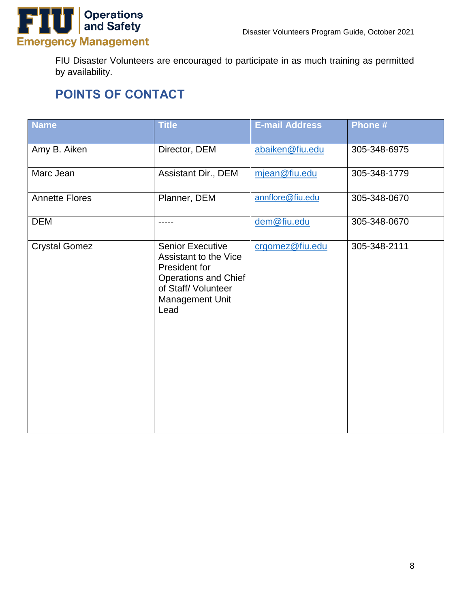

FIU Disaster Volunteers are encouraged to participate in as much training as permitted by availability.

## <span id="page-7-0"></span>**POINTS OF CONTACT**

| <b>Name</b>           | <b>Title</b>                                                                                                                                             | <b>E-mail Address</b> | Phone #      |
|-----------------------|----------------------------------------------------------------------------------------------------------------------------------------------------------|-----------------------|--------------|
| Amy B. Aiken          | Director, DEM                                                                                                                                            | abaiken@fiu.edu       | 305-348-6975 |
| Marc Jean             | Assistant Dir., DEM                                                                                                                                      | mjean@fiu.edu         | 305-348-1779 |
| <b>Annette Flores</b> | Planner, DEM                                                                                                                                             | annflore@fiu.edu      | 305-348-0670 |
| <b>DEM</b>            |                                                                                                                                                          | dem@fiu.edu           | 305-348-0670 |
| <b>Crystal Gomez</b>  | <b>Senior Executive</b><br>Assistant to the Vice<br>President for<br><b>Operations and Chief</b><br>of Staff/Volunteer<br><b>Management Unit</b><br>Lead | crgomez@fiu.edu       | 305-348-2111 |